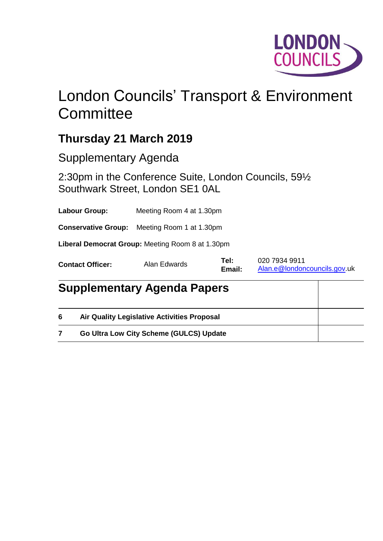

## London Councils' Transport & Environment **Committee**

## **Thursday 21 March 2019**

Supplementary Agenda

2:30pm in the Conference Suite, London Councils, 59½ Southwark Street, London SE1 0AL

**Labour Group:** Meeting Room 4 at 1.30pm

**Conservative Group:** Meeting Room 1 at 1.30pm

**Liberal Democrat Group:** Meeting Room 8 at 1.30pm

| <b>Contact Officer:</b> | Alan Edwards | Tel:   | 020 7934 9911                |
|-------------------------|--------------|--------|------------------------------|
|                         |              | Email: | Alan.e@londoncouncils.gov.uk |

|   | <b>Supplementary Agenda Papers</b>                 |  |  |  |
|---|----------------------------------------------------|--|--|--|
| 6 | <b>Air Quality Legislative Activities Proposal</b> |  |  |  |
|   | Go Ultra Low City Scheme (GULCS) Update            |  |  |  |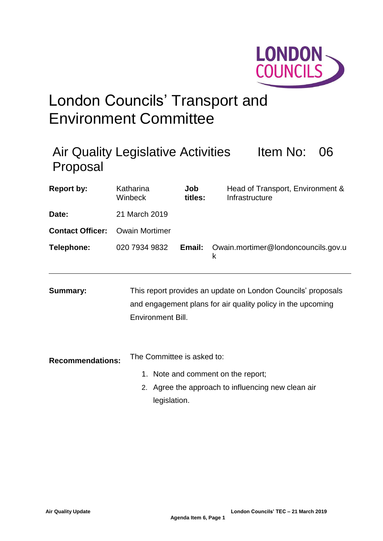

# London Councils' Transport and Environment Committee

| Proposal                | <b>Air Quality Legislative Activities</b>  |                |                                    | Item No:                                                                                                                    | 06 |
|-------------------------|--------------------------------------------|----------------|------------------------------------|-----------------------------------------------------------------------------------------------------------------------------|----|
| <b>Report by:</b>       | Katharina<br>Winbeck                       | Job<br>titles: |                                    | Head of Transport, Environment &<br>Infrastructure                                                                          |    |
| Date:                   | 21 March 2019                              |                |                                    |                                                                                                                             |    |
| <b>Contact Officer:</b> | <b>Owain Mortimer</b>                      |                |                                    |                                                                                                                             |    |
| Telephone:              | 020 7934 9832                              | Email:         | k                                  | Owain.mortimer@londoncouncils.gov.u                                                                                         |    |
| <b>Summary:</b>         | <b>Environment Bill.</b>                   |                |                                    | This report provides an update on London Councils' proposals<br>and engagement plans for air quality policy in the upcoming |    |
| <b>Recommendations:</b> | The Committee is asked to:<br>legislation. |                | 1. Note and comment on the report; | 2. Agree the approach to influencing new clean air                                                                          |    |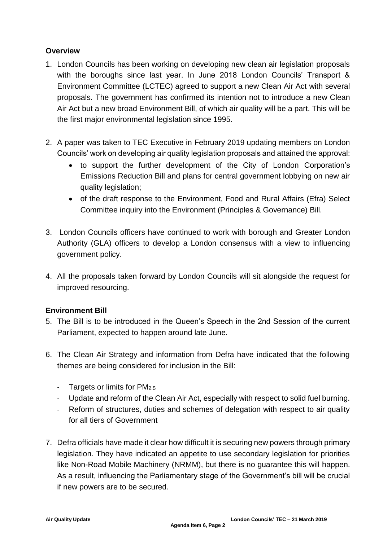## **Overview**

- 1. London Councils has been working on developing new clean air legislation proposals with the boroughs since last year. In June 2018 London Councils' Transport & Environment Committee (LCTEC) agreed to support a new Clean Air Act with several proposals. The government has confirmed its intention not to introduce a new Clean Air Act but a new broad Environment Bill, of which air quality will be a part. This will be the first major environmental legislation since 1995.
- 2. A paper was taken to TEC Executive in February 2019 updating members on London Councils' work on developing air quality legislation proposals and attained the approval:
	- to support the further development of the City of London Corporation's Emissions Reduction Bill and plans for central government lobbying on new air quality legislation;
	- of the draft response to the Environment, Food and Rural Affairs (Efra) Select Committee inquiry into the Environment (Principles & Governance) Bill.
- 3. London Councils officers have continued to work with borough and Greater London Authority (GLA) officers to develop a London consensus with a view to influencing government policy.
- 4. All the proposals taken forward by London Councils will sit alongside the request for improved resourcing.

## **Environment Bill**

- 5. The Bill is to be introduced in the Queen's Speech in the 2nd Session of the current Parliament, expected to happen around late June.
- 6. The Clean Air Strategy and information from Defra have indicated that the following themes are being considered for inclusion in the Bill:
	- Targets or limits for PM2.5
	- Update and reform of the Clean Air Act, especially with respect to solid fuel burning.
	- Reform of structures, duties and schemes of delegation with respect to air quality for all tiers of Government
- 7. Defra officials have made it clear how difficult it is securing new powers through primary legislation. They have indicated an appetite to use secondary legislation for priorities like Non-Road Mobile Machinery (NRMM), but there is no guarantee this will happen. As a result, influencing the Parliamentary stage of the Government's bill will be crucial if new powers are to be secured.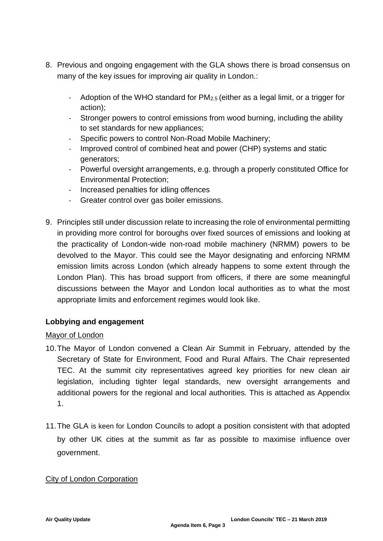- 8. Previous and ongoing engagement with the GLA shows there is broad consensus on many of the key issues for improving air quality in London.:
	- Adoption of the WHO standard for PM2.5 (either as a legal limit, or a trigger for action);
	- Stronger powers to control emissions from wood burning, including the ability to set standards for new appliances;
	- Specific powers to control Non-Road Mobile Machinery;
	- Improved control of combined heat and power (CHP) systems and static generators;
	- Powerful oversight arrangements, e.g. through a properly constituted Office for Environmental Protection;
	- Increased penalties for idling offences
	- Greater control over gas boiler emissions.
- 9. Principles still under discussion relate to increasing the role of environmental permitting in providing more control for boroughs over fixed sources of emissions and looking at the practicality of London-wide non-road mobile machinery (NRMM) powers to be devolved to the Mayor. This could see the Mayor designating and enforcing NRMM emission limits across London (which already happens to some extent through the London Plan). This has broad support from officers, if there are some meaningful discussions between the Mayor and London local authorities as to what the most appropriate limits and enforcement regimes would look like.

## **Lobbying and engagement**

## Mayor of London

- 10.The Mayor of London convened a Clean Air Summit in February, attended by the Secretary of State for Environment, Food and Rural Affairs. The Chair represented TEC. At the summit city representatives agreed key priorities for new clean air legislation, including tighter legal standards, new oversight arrangements and additional powers for the regional and local authorities. This is attached as Appendix 1.
- 11.The GLA is keen for London Councils to adopt a position consistent with that adopted by other UK cities at the summit as far as possible to maximise influence over government.

## City of London Corporation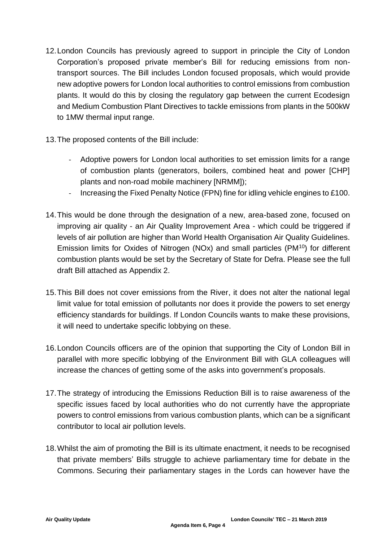- 12.London Councils has previously agreed to support in principle the City of London Corporation's proposed private member's Bill for reducing emissions from nontransport sources. The Bill includes London focused proposals, which would provide new adoptive powers for London local authorities to control emissions from combustion plants. It would do this by closing the regulatory gap between the current Ecodesign and Medium Combustion Plant Directives to tackle emissions from plants in the 500kW to 1MW thermal input range.
- 13.The proposed contents of the Bill include:
	- Adoptive powers for London local authorities to set emission limits for a range of combustion plants (generators, boilers, combined heat and power [CHP] plants and non-road mobile machinery [NRMM]);
	- Increasing the Fixed Penalty Notice (FPN) fine for idling vehicle engines to £100.
- 14.This would be done through the designation of a new, area-based zone, focused on improving air quality - an Air Quality Improvement Area - which could be triggered if levels of air pollution are higher than World Health Organisation Air Quality Guidelines. Emission limits for Oxides of Nitrogen (NOx) and small particles (PM<sup>10</sup>) for different combustion plants would be set by the Secretary of State for Defra. Please see the full draft Bill attached as Appendix 2.
- 15.This Bill does not cover emissions from the River, it does not alter the national legal limit value for total emission of pollutants nor does it provide the powers to set energy efficiency standards for buildings. If London Councils wants to make these provisions, it will need to undertake specific lobbying on these.
- 16.London Councils officers are of the opinion that supporting the City of London Bill in parallel with more specific lobbying of the Environment Bill with GLA colleagues will increase the chances of getting some of the asks into government's proposals.
- 17.The strategy of introducing the Emissions Reduction Bill is to raise awareness of the specific issues faced by local authorities who do not currently have the appropriate powers to control emissions from various combustion plants, which can be a significant contributor to local air pollution levels.
- 18.Whilst the aim of promoting the Bill is its ultimate enactment, it needs to be recognised that private members' Bills struggle to achieve parliamentary time for debate in the Commons. Securing their parliamentary stages in the Lords can however have the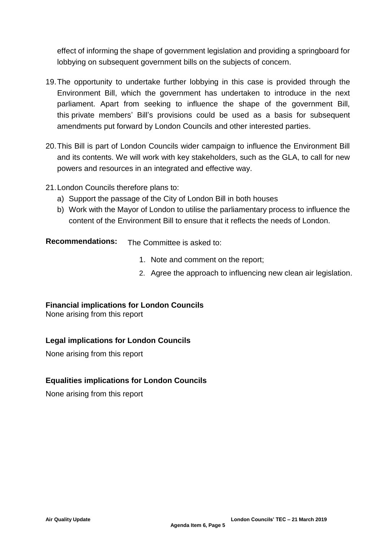effect of informing the shape of government legislation and providing a springboard for lobbying on subsequent government bills on the subjects of concern.

- 19.The opportunity to undertake further lobbying in this case is provided through the Environment Bill, which the government has undertaken to introduce in the next parliament. Apart from seeking to influence the shape of the government Bill, this private members' Bill's provisions could be used as a basis for subsequent amendments put forward by London Councils and other interested parties.
- 20.This Bill is part of London Councils wider campaign to influence the Environment Bill and its contents. We will work with key stakeholders, such as the GLA, to call for new powers and resources in an integrated and effective way.
- 21.London Councils therefore plans to:
	- a) Support the passage of the City of London Bill in both houses
	- b) Work with the Mayor of London to utilise the parliamentary process to influence the content of the Environment Bill to ensure that it reflects the needs of London.

**Recommendations:** The Committee is asked to:

- 1. Note and comment on the report;
- 2. Agree the approach to influencing new clean air legislation.

## **Financial implications for London Councils**

None arising from this report

## **Legal implications for London Councils**

None arising from this report

## **Equalities implications for London Councils**

None arising from this report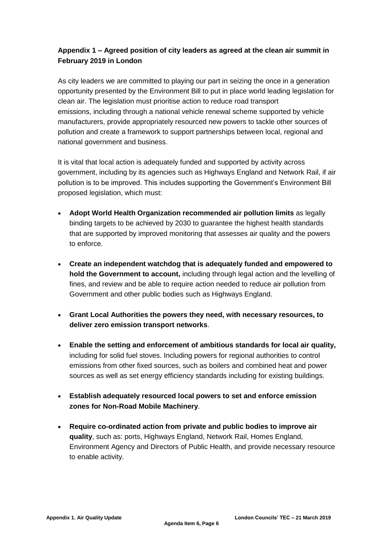## **Appendix 1 – Agreed position of city leaders as agreed at the clean air summit in February 2019 in London**

As city leaders we are committed to playing our part in seizing the once in a generation opportunity presented by the Environment Bill to put in place world leading legislation for clean air. The legislation must prioritise action to reduce road transport emissions, including through a national vehicle renewal scheme supported by vehicle manufacturers, provide appropriately resourced new powers to tackle other sources of pollution and create a framework to support partnerships between local, regional and national government and business.

It is vital that local action is adequately funded and supported by activity across government, including by its agencies such as Highways England and Network Rail, if air pollution is to be improved. This includes supporting the Government's Environment Bill proposed legislation, which must:

- **Adopt World Health Organization recommended air pollution limits** as legally binding targets to be achieved by 2030 to guarantee the highest health standards that are supported by improved monitoring that assesses air quality and the powers to enforce.
- **Create an independent watchdog that is adequately funded and empowered to hold the Government to account,** including through legal action and the levelling of fines, and review and be able to require action needed to reduce air pollution from Government and other public bodies such as Highways England.
- **Grant Local Authorities the powers they need, with necessary resources, to deliver zero emission transport networks**.
- **Enable the setting and enforcement of ambitious standards for local air quality,**  including for solid fuel stoves. Including powers for regional authorities to control emissions from other fixed sources, such as boilers and combined heat and power sources as well as set energy efficiency standards including for existing buildings.
- **Establish adequately resourced local powers to set and enforce emission zones for Non-Road Mobile Machinery**.
- **Require co-ordinated action from private and public bodies to improve air quality**, such as: ports, Highways England, Network Rail, Homes England, Environment Agency and Directors of Public Health, and provide necessary resource to enable activity.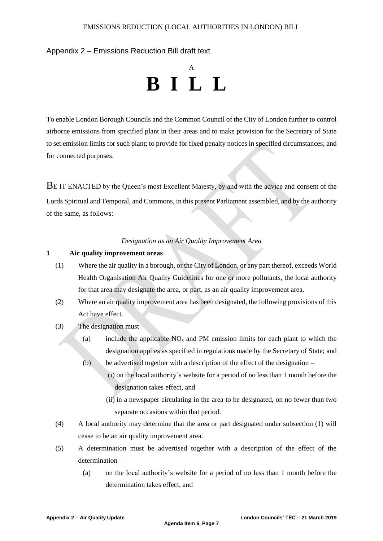#### Appendix 2 – Emissions Reduction Bill draft text

## A **B I L L**

To enable London Borough Councils and the Common Council of the City of London further to control airborne emissions from specified plant in their areas and to make provision for the Secretary of State to set emission limits for such plant; to provide for fixed penalty notices in specified circumstances; and for connected purposes.

BE IT ENACTED by the Queen's most Excellent Majesty, by and with the advice and consent of the Lords Spiritual and Temporal, and Commons, in this present Parliament assembled, and by the authority of the same, as follows:—

#### *Designation as an Air Quality Improvement Area*

#### **1 Air quality improvement areas**

- (1) Where the air quality in a borough, or the City of London, or any part thereof, exceeds World Health Organisation Air Quality Guidelines for one or more pollutants, the local authority for that area may designate the area, or part, as an air quality improvement area.
- (2) Where an air quality improvement area has been designated, the following provisions of this Act have effect.
- $(3)$  The designation must
	- (a) include the applicable  $NO<sub>x</sub>$  and PM emission limits for each plant to which the designation applies as specified in regulations made by the Secretary of State; and
	- (b) be advertised together with a description of the effect of the designation
		- (i) on the local authority's website for a period of no less than 1 month before the designation takes effect, and
		- (ii) in a newspaper circulating in the area to be designated, on no fewer than two separate occasions within that period.
- (4) A local authority may determine that the area or part designated under subsection (1) will cease to be an air quality improvement area.
- (5) A determination must be advertised together with a description of the effect of the determination –
	- (a) on the local authority's website for a period of no less than 1 month before the determination takes effect, and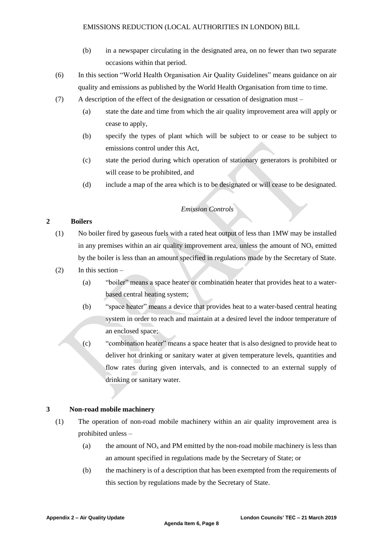- (b) in a newspaper circulating in the designated area, on no fewer than two separate occasions within that period.
- (6) In this section "World Health Organisation Air Quality Guidelines" means guidance on air quality and emissions as published by the World Health Organisation from time to time.
- (7) A description of the effect of the designation or cessation of designation must
	- (a) state the date and time from which the air quality improvement area will apply or cease to apply,
	- (b) specify the types of plant which will be subject to or cease to be subject to emissions control under this Act,
	- (c) state the period during which operation of stationary generators is prohibited or will cease to be prohibited, and
	- (d) include a map of the area which is to be designated or will cease to be designated.

### *Emission Controls*

#### **2 Boilers**

- (1) No boiler fired by gaseous fuels with a rated heat output of less than 1MW may be installed in any premises within an air quality improvement area, unless the amount of  $NO<sub>x</sub>$  emitted by the boiler is less than an amount specified in regulations made by the Secretary of State.
- $(2)$  In this section
	- (a) "boiler" means a space heater or combination heater that provides heat to a waterbased central heating system;
	- (b) "space heater" means a device that provides heat to a water-based central heating system in order to reach and maintain at a desired level the indoor temperature of an enclosed space;
	- (c) "combination heater" means a space heater that is also designed to provide heat to deliver hot drinking or sanitary water at given temperature levels, quantities and flow rates during given intervals, and is connected to an external supply of drinking or sanitary water.

#### **3 Non-road mobile machinery**

- (1) The operation of non-road mobile machinery within an air quality improvement area is prohibited unless –
	- (a) the amount of  $NO<sub>x</sub>$  and PM emitted by the non-road mobile machinery is less than an amount specified in regulations made by the Secretary of State; or
	- (b) the machinery is of a description that has been exempted from the requirements of this section by regulations made by the Secretary of State.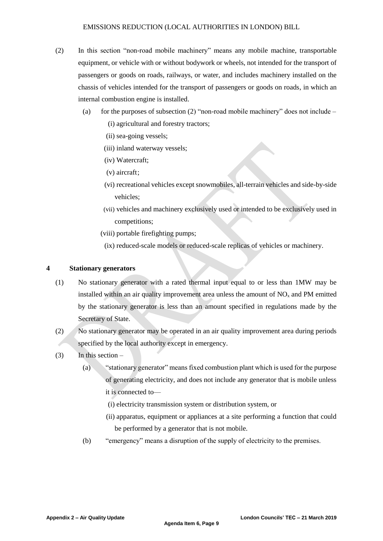- (2) In this section "non-road mobile machinery" means any mobile machine, transportable equipment, or vehicle with or without bodywork or wheels, not intended for the transport of passengers or goods on roads, railways, or water, and includes machinery installed on the chassis of vehicles intended for the transport of passengers or goods on roads, in which an internal combustion engine is installed.
	- (a) for the purposes of subsection (2) "non-road mobile machinery" does not include
		- (i) agricultural and forestry tractors;
		- (ii) sea-going vessels;
		- (iii) inland waterway vessels;
		- (iv) Watercraft;
		- (v) aircraft;
		- (vi) recreational vehicles except snowmobiles, all-terrain vehicles and side-by-side vehicles;
		- (vii) vehicles and machinery exclusively used or intended to be exclusively used in competitions;
		- (viii) portable firefighting pumps;
			- (ix) reduced-scale models or reduced-scale replicas of vehicles or machinery.

#### **4 Stationary generators**

- (1) No stationary generator with a rated thermal input equal to or less than 1MW may be installed within an air quality improvement area unless the amount of  $NO<sub>x</sub>$  and PM emitted by the stationary generator is less than an amount specified in regulations made by the Secretary of State.
- (2) No stationary generator may be operated in an air quality improvement area during periods specified by the local authority except in emergency.
- $(3)$  In this section
	- (a) "stationary generator" means fixed combustion plant which is used for the purpose of generating electricity, and does not include any generator that is mobile unless it is connected to—
		- (i) electricity transmission system or distribution system, or
		- (ii) apparatus, equipment or appliances at a site performing a function that could be performed by a generator that is not mobile.
	- (b) "emergency" means a disruption of the supply of electricity to the premises.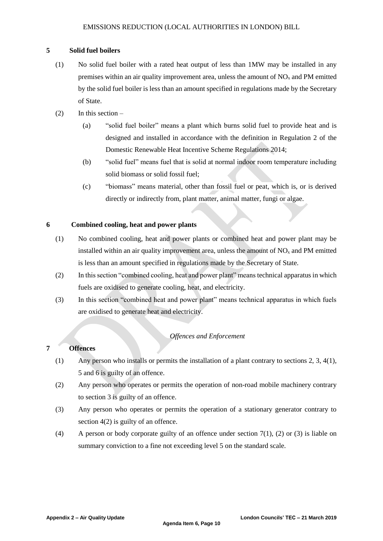#### **5 Solid fuel boilers**

- (1) No solid fuel boiler with a rated heat output of less than 1MW may be installed in any premises within an air quality improvement area, unless the amount of  $NO<sub>x</sub>$  and PM emitted by the solid fuel boiler is less than an amount specified in regulations made by the Secretary of State.
- $(2)$  In this section
	- (a) "solid fuel boiler" means a plant which burns solid fuel to provide heat and is designed and installed in accordance with the definition in Regulation 2 of the Domestic Renewable Heat Incentive Scheme Regulations 2014;
	- (b) "solid fuel" means fuel that is solid at normal indoor room temperature including solid biomass or solid fossil fuel;
	- (c) "biomass" means material, other than fossil fuel or peat, which is, or is derived directly or indirectly from, plant matter, animal matter, fungi or algae.

#### **6 Combined cooling, heat and power plants**

- (1) No combined cooling, heat and power plants or combined heat and power plant may be installed within an air quality improvement area, unless the amount of  $NO<sub>x</sub>$  and PM emitted is less than an amount specified in regulations made by the Secretary of State.
- (2) In this section "combined cooling, heat and power plant" means technical apparatus in which fuels are oxidised to generate cooling, heat, and electricity.
- (3) In this section "combined heat and power plant" means technical apparatus in which fuels are oxidised to generate heat and electricity.

#### *Offences and Enforcement*

#### **7 Offences**

- (1) Any person who installs or permits the installation of a plant contrary to sections 2, 3, 4(1), 5 and 6 is guilty of an offence.
- (2) Any person who operates or permits the operation of non-road mobile machinery contrary to section 3 is guilty of an offence.
- (3) Any person who operates or permits the operation of a stationary generator contrary to section 4(2) is guilty of an offence.
- (4) A person or body corporate guilty of an offence under section 7(1), (2) or (3) is liable on summary conviction to a fine not exceeding level 5 on the standard scale.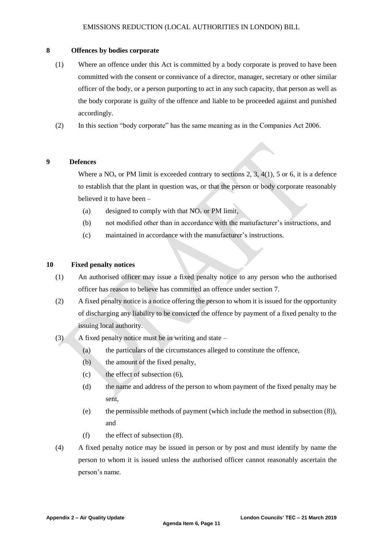#### **8 Offences by bodies corporate**

- (1) Where an offence under this Act is committed by a body corporate is proved to have been committed with the consent or connivance of a director, manager, secretary or other similar officer of the body, or a person purporting to act in any such capacity, that person as well as the body corporate is guilty of the offence and liable to be proceeded against and punished accordingly.
- (2) In this section "body corporate" has the same meaning as in the Companies Act 2006.

#### **9 Defences**

Where a  $NO<sub>x</sub>$  or PM limit is exceeded contrary to sections 2, 3, 4(1), 5 or 6, it is a defence to establish that the plant in question was, or that the person or body corporate reasonably believed it to have been –

- (a) designed to comply with that  $NO<sub>x</sub>$  or PM limit,
- (b) not modified other than in accordance with the manufacturer's instructions, and
- (c) maintained in accordance with the manufacturer's instructions.

#### **10 Fixed penalty notices**

- (1) An authorised officer may issue a fixed penalty notice to any person who the authorised officer has reason to believe has committed an offence under section 7.
- (2) A fixed penalty notice is a notice offering the person to whom it is issued for the opportunity of discharging any liability to be convicted the offence by payment of a fixed penalty to the issuing local authority.
- (3) A fixed penalty notice must be in writing and state
	- (a) the particulars of the circumstances alleged to constitute the offence,
	- (b) the amount of the fixed penalty,
	- (c) the effect of subsection (6),
	- (d) the name and address of the person to whom payment of the fixed penalty may be sent,
	- (e) the permissible methods of payment (which include the method in subsection (8)), and
	- (f) the effect of subsection (8).
- (4) A fixed penalty notice may be issued in person or by post and must identify by name the person to whom it is issued unless the authorised officer cannot reasonably ascertain the person's name.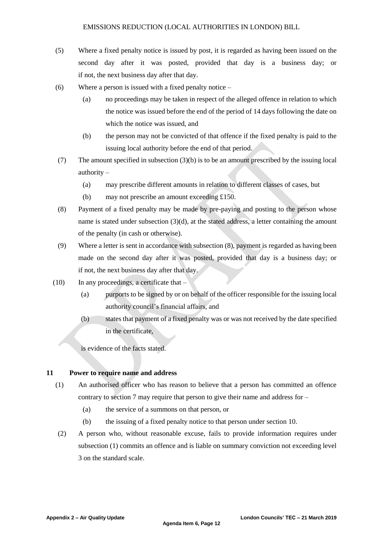- (5) Where a fixed penalty notice is issued by post, it is regarded as having been issued on the second day after it was posted, provided that day is a business day; or if not, the next business day after that day.
- (6) Where a person is issued with a fixed penalty notice
	- (a) no proceedings may be taken in respect of the alleged offence in relation to which the notice was issued before the end of the period of 14 days following the date on which the notice was issued, and
	- (b) the person may not be convicted of that offence if the fixed penalty is paid to the issuing local authority before the end of that period.
- (7) The amount specified in subsection (3)(b) is to be an amount prescribed by the issuing local authority –
	- (a) may prescribe different amounts in relation to different classes of cases, but
	- (b) may not prescribe an amount exceeding £150.
- (8) Payment of a fixed penalty may be made by pre-paying and posting to the person whose name is stated under subsection (3)(d), at the stated address, a letter containing the amount of the penalty (in cash or otherwise).
- (9) Where a letter is sent in accordance with subsection (8), payment is regarded as having been made on the second day after it was posted, provided that day is a business day; or if not, the next business day after that day.
- $(10)$  In any proceedings, a certificate that
	- (a) purports to be signed by or on behalf of the officer responsible for the issuing local authority council's financial affairs, and
	- (b) states that payment of a fixed penalty was or was not received by the date specified in the certificate,

is evidence of the facts stated.

#### **11 Power to require name and address**

- (1) An authorised officer who has reason to believe that a person has committed an offence contrary to section 7 may require that person to give their name and address for –
	- (a) the service of a summons on that person, or
	- (b) the issuing of a fixed penalty notice to that person under section 10.
- (2) A person who, without reasonable excuse, fails to provide information requires under subsection (1) commits an offence and is liable on summary conviction not exceeding level 3 on the standard scale.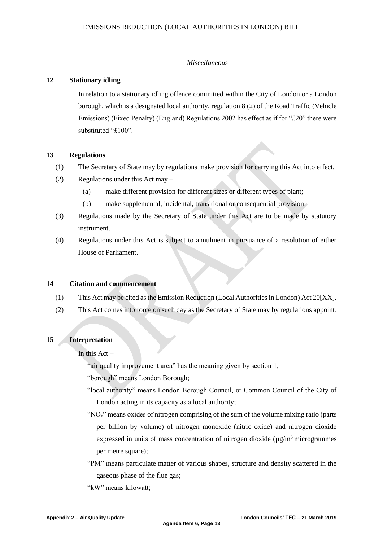#### *Miscellaneous*

#### **12 Stationary idling**

In relation to a stationary idling offence committed within the City of London or a London borough, which is a designated local authority, regulation 8 (2) of the Road Traffic (Vehicle Emissions) (Fixed Penalty) (England) Regulations 2002 has effect as if for "£20" there were substituted "£100".

#### **13 Regulations**

- (1) The Secretary of State may by regulations make provision for carrying this Act into effect.
- (2) Regulations under this Act may
	- (a) make different provision for different sizes or different types of plant;
	- (b) make supplemental, incidental, transitional or consequential provision.
- (3) Regulations made by the Secretary of State under this Act are to be made by statutory instrument.
- (4) Regulations under this Act is subject to annulment in pursuance of a resolution of either House of Parliament.

#### **14 Citation and commencement**

- (1) This Act may be cited as the Emission Reduction (Local Authorities in London) Act 20[XX].
- (2) This Act comes into force on such day as the Secretary of State may by regulations appoint.

#### **15 Interpretation**

In this  $Act -$ 

"air quality improvement area" has the meaning given by section 1,

- "borough" means London Borough;
- "local authority" means London Borough Council, or Common Council of the City of London acting in its capacity as a local authority;
- " $NO<sub>x</sub>$ " means oxides of nitrogen comprising of the sum of the volume mixing ratio (parts per billion by volume) of nitrogen monoxide (nitric oxide) and nitrogen dioxide expressed in units of mass concentration of nitrogen dioxide  $(\mu g/m^3$  microgrammes per metre square);
- "PM" means particulate matter of various shapes, structure and density scattered in the gaseous phase of the flue gas;

"kW" means kilowatt;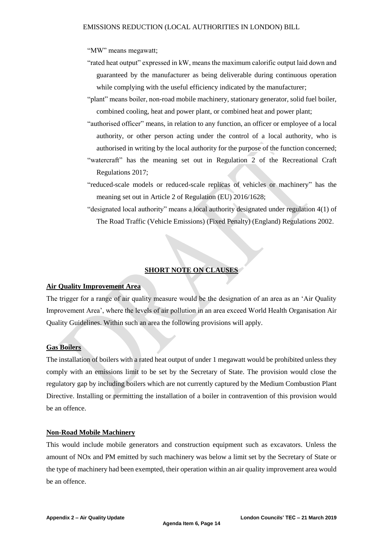"MW" means megawatt;

"rated heat output" expressed in kW, means the maximum calorific output laid down and guaranteed by the manufacturer as being deliverable during continuous operation while complying with the useful efficiency indicated by the manufacturer;

"plant" means boiler, non-road mobile machinery, stationary generator, solid fuel boiler, combined cooling, heat and power plant, or combined heat and power plant;

- "authorised officer" means, in relation to any function, an officer or employee of a local authority, or other person acting under the control of a local authority, who is authorised in writing by the local authority for the purpose of the function concerned;
- "watercraft" has the meaning set out in Regulation 2 of the Recreational Craft Regulations 2017;
- "reduced-scale models or reduced-scale replicas of vehicles or machinery" has the meaning set out in Article 2 of Regulation (EU) 2016/1628;

"designated local authority" means a local authority designated under regulation 4(1) of The Road Traffic (Vehicle Emissions) (Fixed Penalty) (England) Regulations 2002.

#### **SHORT NOTE ON CLAUSES**

#### **Air Quality Improvement Area**

The trigger for a range of air quality measure would be the designation of an area as an 'Air Quality Improvement Area', where the levels of air pollution in an area exceed World Health Organisation Air Quality Guidelines. Within such an area the following provisions will apply.

#### **Gas Boilers**

The installation of boilers with a rated heat output of under 1 megawatt would be prohibited unless they comply with an emissions limit to be set by the Secretary of State. The provision would close the regulatory gap by including boilers which are not currently captured by the Medium Combustion Plant Directive. Installing or permitting the installation of a boiler in contravention of this provision would be an offence.

#### **Non-Road Mobile Machinery**

This would include mobile generators and construction equipment such as excavators. Unless the amount of NOx and PM emitted by such machinery was below a limit set by the Secretary of State or the type of machinery had been exempted, their operation within an air quality improvement area would be an offence.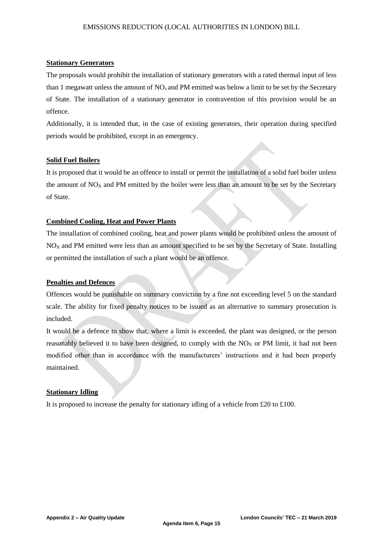#### **Stationary Generators**

The proposals would prohibit the installation of stationary generators with a rated thermal input of less than 1 megawatt unless the amount of  $NO<sub>x</sub>$  and PM emitted was below a limit to be set by the Secretary of State. The installation of a stationary generator in contravention of this provision would be an offence.

Additionally, it is intended that, in the case of existing generators, their operation during specified periods would be prohibited, except in an emergency.

#### **Solid Fuel Boilers**

It is proposed that it would be an offence to install or permit the installation of a solid fuel boiler unless the amount of  $NO<sub>X</sub>$  and PM emitted by the boiler were less than an amount to be set by the Secretary of State.

#### **Combined Cooling, Heat and Power Plants**

The installation of combined cooling, heat and power plants would be prohibited unless the amount of NO<sub>X</sub> and PM emitted were less than an amount specified to be set by the Secretary of State. Installing or permitted the installation of such a plant would be an offence.

#### **Penalties and Defences**

Offences would be punishable on summary conviction by a fine not exceeding level 5 on the standard scale. The ability for fixed penalty notices to be issued as an alternative to summary prosecution is included.

It would be a defence to show that, where a limit is exceeded, the plant was designed, or the person reasonably believed it to have been designed, to comply with the  $NO<sub>X</sub>$  or PM limit, it had not been modified other than in accordance with the manufacturers' instructions and it had been properly maintained.

#### **Stationary Idling**

It is proposed to increase the penalty for stationary idling of a vehicle from £20 to £100.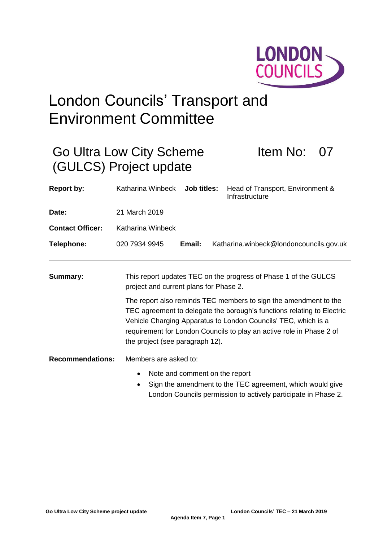

# London Councils' Transport and Environment Committee

|                         | Go Ultra Low City Scheme<br>(GULCS) Project update                                                                                                                                                                                                                                                                                                                                                                                   |             | <b>Item No:</b>                                          |  |  |
|-------------------------|--------------------------------------------------------------------------------------------------------------------------------------------------------------------------------------------------------------------------------------------------------------------------------------------------------------------------------------------------------------------------------------------------------------------------------------|-------------|----------------------------------------------------------|--|--|
| <b>Report by:</b>       | Katharina Winbeck                                                                                                                                                                                                                                                                                                                                                                                                                    | Job titles: | Head of Transport, Environment &<br>Infrastructure       |  |  |
| Date:                   | 21 March 2019                                                                                                                                                                                                                                                                                                                                                                                                                        |             |                                                          |  |  |
| <b>Contact Officer:</b> | Katharina Winbeck                                                                                                                                                                                                                                                                                                                                                                                                                    |             |                                                          |  |  |
| <b>Telephone:</b>       | 020 7934 9945                                                                                                                                                                                                                                                                                                                                                                                                                        | Email:      | Katharina.winbeck@londoncouncils.gov.uk                  |  |  |
| <b>Summary:</b>         | This report updates TEC on the progress of Phase 1 of the GULCS<br>project and current plans for Phase 2.<br>The report also reminds TEC members to sign the amendment to the<br>TEC agreement to delegate the borough's functions relating to Electric<br>Vehicle Charging Apparatus to London Councils' TEC, which is a<br>requirement for London Councils to play an active role in Phase 2 of<br>the project (see paragraph 12). |             |                                                          |  |  |
|                         |                                                                                                                                                                                                                                                                                                                                                                                                                                      |             |                                                          |  |  |
| <b>Recommendations:</b> | Members are asked to:                                                                                                                                                                                                                                                                                                                                                                                                                |             |                                                          |  |  |
|                         | Note and comment on the report<br>$\bullet$                                                                                                                                                                                                                                                                                                                                                                                          |             |                                                          |  |  |
|                         |                                                                                                                                                                                                                                                                                                                                                                                                                                      |             | Sign the amondment to the TEC agreement which would give |  |  |

• Sign the amendment to the TEC agreement, which would give London Councils permission to actively participate in Phase 2.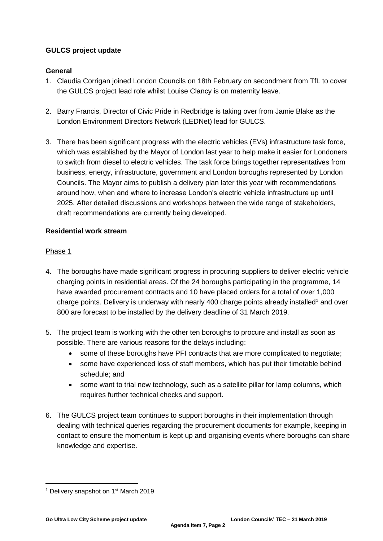## **GULCS project update**

## **General**

- 1. Claudia Corrigan joined London Councils on 18th February on secondment from TfL to cover the GULCS project lead role whilst Louise Clancy is on maternity leave.
- 2. Barry Francis, Director of Civic Pride in Redbridge is taking over from Jamie Blake as the London Environment Directors Network (LEDNet) lead for GULCS.
- 3. There has been significant progress with the electric vehicles (EVs) infrastructure task force, which was established by the Mayor of London last year to help make it easier for Londoners to switch from diesel to electric vehicles. The task force brings together representatives from business, energy, infrastructure, government and London boroughs represented by London Councils. The Mayor aims to publish a delivery plan later this year with recommendations around how, when and where to increase London's electric vehicle infrastructure up until 2025. After detailed discussions and workshops between the wide range of stakeholders, draft recommendations are currently being developed.

## **Residential work stream**

## Phase 1

- 4. The boroughs have made significant progress in procuring suppliers to deliver electric vehicle charging points in residential areas. Of the 24 boroughs participating in the programme, 14 have awarded procurement contracts and 10 have placed orders for a total of over 1,000 charge points. Delivery is underway with nearly 400 charge points already installed<sup>1</sup> and over 800 are forecast to be installed by the delivery deadline of 31 March 2019.
- 5. The project team is working with the other ten boroughs to procure and install as soon as possible. There are various reasons for the delays including:
	- some of these boroughs have PFI contracts that are more complicated to negotiate;
	- some have experienced loss of staff members, which has put their timetable behind schedule; and
	- some want to trial new technology, such as a satellite pillar for lamp columns, which requires further technical checks and support.
- 6. The GULCS project team continues to support boroughs in their implementation through dealing with technical queries regarding the procurement documents for example, keeping in contact to ensure the momentum is kept up and organising events where boroughs can share knowledge and expertise.

l <sup>1</sup> Delivery snapshot on 1<sup>st</sup> March 2019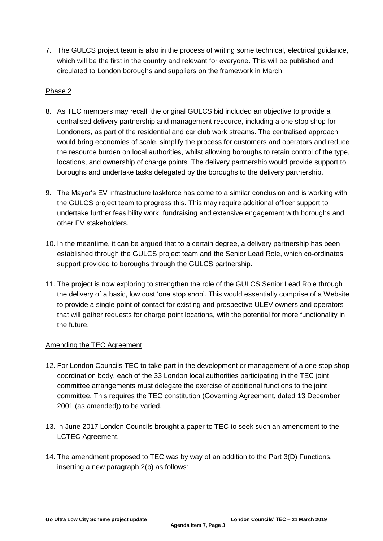7. The GULCS project team is also in the process of writing some technical, electrical guidance, which will be the first in the country and relevant for everyone. This will be published and circulated to London boroughs and suppliers on the framework in March.

### Phase 2

- 8. As TEC members may recall, the original GULCS bid included an objective to provide a centralised delivery partnership and management resource, including a one stop shop for Londoners, as part of the residential and car club work streams. The centralised approach would bring economies of scale, simplify the process for customers and operators and reduce the resource burden on local authorities, whilst allowing boroughs to retain control of the type, locations, and ownership of charge points. The delivery partnership would provide support to boroughs and undertake tasks delegated by the boroughs to the delivery partnership.
- 9. The Mayor's EV infrastructure taskforce has come to a similar conclusion and is working with the GULCS project team to progress this. This may require additional officer support to undertake further feasibility work, fundraising and extensive engagement with boroughs and other EV stakeholders.
- 10. In the meantime, it can be argued that to a certain degree, a delivery partnership has been established through the GULCS project team and the Senior Lead Role, which co-ordinates support provided to boroughs through the GULCS partnership.
- 11. The project is now exploring to strengthen the role of the GULCS Senior Lead Role through the delivery of a basic, low cost 'one stop shop'. This would essentially comprise of a Website to provide a single point of contact for existing and prospective ULEV owners and operators that will gather requests for charge point locations, with the potential for more functionality in the future.

## Amending the TEC Agreement

- 12. For London Councils TEC to take part in the development or management of a one stop shop coordination body, each of the 33 London local authorities participating in the TEC joint committee arrangements must delegate the exercise of additional functions to the joint committee. This requires the TEC constitution (Governing Agreement, dated 13 December 2001 (as amended)) to be varied.
- 13. In June 2017 London Councils brought a paper to TEC to seek such an amendment to the LCTEC Agreement.
- 14. The amendment proposed to TEC was by way of an addition to the Part 3(D) Functions, inserting a new paragraph 2(b) as follows: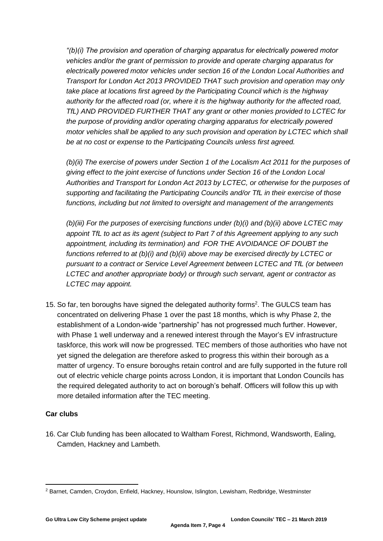*"(b)(i) The provision and operation of charging apparatus for electrically powered motor vehicles and/or the grant of permission to provide and operate charging apparatus for electrically powered motor vehicles under section 16 of the London Local Authorities and Transport for London Act 2013 PROVIDED THAT such provision and operation may only take place at locations first agreed by the Participating Council which is the highway authority for the affected road (or, where it is the highway authority for the affected road, TfL) AND PROVIDED FURTHER THAT any grant or other monies provided to LCTEC for the purpose of providing and/or operating charging apparatus for electrically powered motor vehicles shall be applied to any such provision and operation by LCTEC which shall be at no cost or expense to the Participating Councils unless first agreed.*

*(b)(ii) The exercise of powers under Section 1 of the Localism Act 2011 for the purposes of giving effect to the joint exercise of functions under Section 16 of the London Local Authorities and Transport for London Act 2013 by LCTEC, or otherwise for the purposes of supporting and facilitating the Participating Councils and/or TfL in their exercise of those functions, including but not limited to oversight and management of the arrangements*

*(b)(iii) For the purposes of exercising functions under (b)(i) and (b)(ii) above LCTEC may appoint TfL to act as its agent (subject to Part 7 of this Agreement applying to any such appointment, including its termination) and FOR THE AVOIDANCE OF DOUBT the functions referred to at (b)(i) and (b)(ii) above may be exercised directly by LCTEC or pursuant to a contract or Service Level Agreement between LCTEC and TfL (or between LCTEC and another appropriate body) or through such servant, agent or contractor as LCTEC may appoint.* 

15. So far, ten boroughs have signed the delegated authority forms<sup>2</sup>. The GULCS team has concentrated on delivering Phase 1 over the past 18 months, which is why Phase 2, the establishment of a London-wide "partnership" has not progressed much further. However, with Phase 1 well underway and a renewed interest through the Mayor's EV infrastructure taskforce, this work will now be progressed. TEC members of those authorities who have not yet signed the delegation are therefore asked to progress this within their borough as a matter of urgency. To ensure boroughs retain control and are fully supported in the future roll out of electric vehicle charge points across London, it is important that London Councils has the required delegated authority to act on borough's behalf. Officers will follow this up with more detailed information after the TEC meeting.

## **Car clubs**

16. Car Club funding has been allocated to Waltham Forest, Richmond, Wandsworth, Ealing, Camden, Hackney and Lambeth.

 $\overline{a}$ <sup>2</sup> Barnet, Camden, Croydon, Enfield, Hackney, Hounslow, Islington, Lewisham, Redbridge, Westminster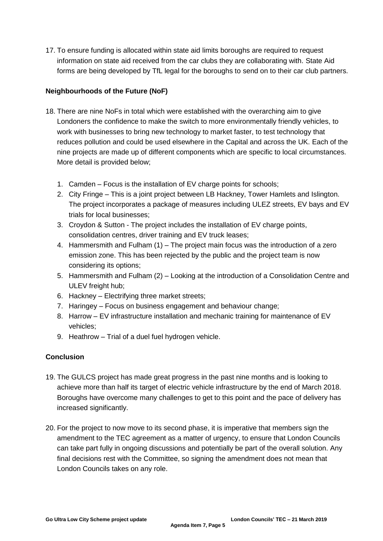17. To ensure funding is allocated within state aid limits boroughs are required to request information on state aid received from the car clubs they are collaborating with. State Aid forms are being developed by TfL legal for the boroughs to send on to their car club partners.

## **Neighbourhoods of the Future (NoF)**

- 18. There are nine NoFs in total which were established with the overarching aim to give Londoners the confidence to make the switch to more environmentally friendly vehicles, to work with businesses to bring new technology to market faster, to test technology that reduces pollution and could be used elsewhere in the Capital and across the UK. Each of the nine projects are made up of different components which are specific to local circumstances. More detail is provided below;
	- 1. Camden Focus is the installation of EV charge points for schools;
	- 2. City Fringe This is a joint project between LB Hackney, Tower Hamlets and Islington. The project incorporates a package of measures including ULEZ streets, EV bays and EV trials for local businesses;
	- 3. Croydon & Sutton The project includes the installation of EV charge points, consolidation centres, driver training and EV truck leases;
	- 4. Hammersmith and Fulham (1) The project main focus was the introduction of a zero emission zone. This has been rejected by the public and the project team is now considering its options;
	- 5. Hammersmith and Fulham (2) Looking at the introduction of a Consolidation Centre and ULEV freight hub;
	- 6. Hackney Electrifying three market streets;
	- 7. Haringey Focus on business engagement and behaviour change;
	- 8. Harrow EV infrastructure installation and mechanic training for maintenance of EV vehicles;
	- 9. Heathrow Trial of a duel fuel hydrogen vehicle.

## **Conclusion**

- 19. The GULCS project has made great progress in the past nine months and is looking to achieve more than half its target of electric vehicle infrastructure by the end of March 2018. Boroughs have overcome many challenges to get to this point and the pace of delivery has increased significantly.
- 20. For the project to now move to its second phase, it is imperative that members sign the amendment to the TEC agreement as a matter of urgency, to ensure that London Councils can take part fully in ongoing discussions and potentially be part of the overall solution. Any final decisions rest with the Committee, so signing the amendment does not mean that London Councils takes on any role.